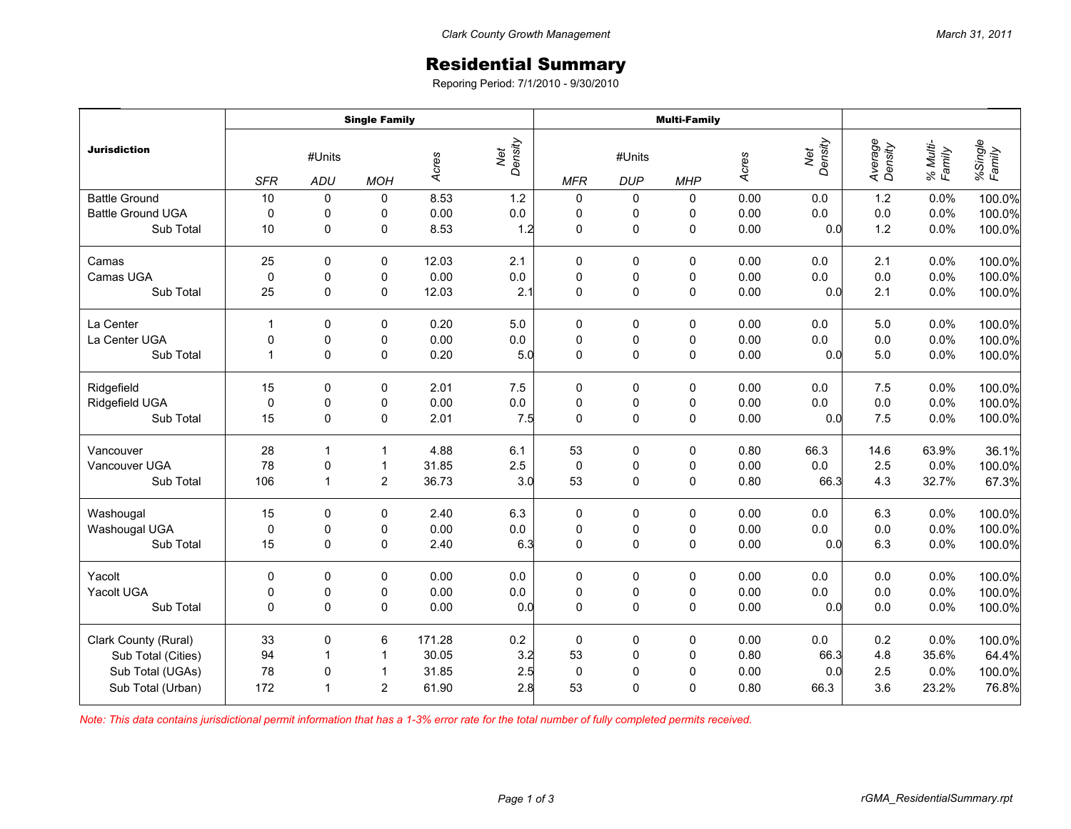## Residential Summary

Reporing Period: 7/1/2010 - 9/30/2010

|                          | <b>Single Family</b> |                         |                |        |                | <b>Multi-Family</b> |                      |             |       |                |                    |                    |                   |
|--------------------------|----------------------|-------------------------|----------------|--------|----------------|---------------------|----------------------|-------------|-------|----------------|--------------------|--------------------|-------------------|
| <b>Jurisdiction</b>      | <b>SFR</b>           | #Units<br>ADU           | <b>MOH</b>     | Acres  | Net<br>Density | <b>MFR</b>          | #Units<br><b>DUP</b> | <b>MHP</b>  | Acres | Density<br>Net | Average<br>Density | % Multi-<br>Family | %Single<br>Family |
| <b>Battle Ground</b>     | 10                   | 0                       | 0              | 8.53   | 1.2            | $\pmb{0}$           | 0                    | 0           | 0.00  | 0.0            | 1.2                | 0.0%               | 100.0%            |
| <b>Battle Ground UGA</b> | $\mathbf 0$          | 0                       | 0              | 0.00   | $0.0\,$        | $\pmb{0}$           | 0                    | 0           | 0.00  | 0.0            | 0.0                | 0.0%               | 100.0%            |
| Sub Total                | 10                   | $\mathbf 0$             | 0              | 8.53   | 1.2            | $\mathbf 0$         | 0                    | 0           | 0.00  | 0.0            | 1.2                | 0.0%               | 100.0%            |
| Camas                    | 25                   | $\Omega$                | 0              | 12.03  | 2.1            | 0                   | 0                    | 0           | 0.00  | 0.0            | 2.1                | 0.0%               | 100.0%            |
| Camas UGA                | $\mathbf 0$          | $\mathbf 0$             | 0              | 0.00   | 0.0            | $\mathbf 0$         | $\pmb{0}$            | 0           | 0.00  | 0.0            | 0.0                | 0.0%               | 100.0%            |
| Sub Total                | 25                   | 0                       | 0              | 12.03  | 2.1            | $\mathbf 0$         | $\mathsf 0$          | $\mathsf 0$ | 0.00  | 0.0            | 2.1                | 0.0%               | 100.0%            |
| La Center                | $\mathbf{1}$         | $\mathbf 0$             | $\mathbf 0$    | 0.20   | 5.0            | 0                   | 0                    | 0           | 0.00  | 0.0            | 5.0                | 0.0%               | 100.0%            |
| La Center UGA            | 0                    | 0                       | 0              | 0.00   | $0.0\,$        | $\pmb{0}$           | 0                    | 0           | 0.00  | 0.0            | 0.0                | 0.0%               | 100.0%            |
| Sub Total                | $\mathbf{1}$         | $\Omega$                | 0              | 0.20   | 5.0            | $\mathbf 0$         | $\mathsf 0$          | $\pmb{0}$   | 0.00  | 0.0            | 5.0                | 0.0%               | 100.0%            |
| Ridgefield               | 15                   | 0                       | 0              | 2.01   | 7.5            | $\pmb{0}$           | 0                    | 0           | 0.00  | 0.0            | 7.5                | 0.0%               | 100.0%            |
| Ridgefield UGA           | $\mathbf 0$          | $\pmb{0}$               | 0              | 0.00   | $0.0\,$        | $\pmb{0}$           | $\pmb{0}$            | $\pmb{0}$   | 0.00  | 0.0            | 0.0                | 0.0%               | 100.0%            |
| Sub Total                | 15                   | $\mathbf 0$             | $\mathbf 0$    | 2.01   | 7.5            | $\mathbf 0$         | $\pmb{0}$            | $\pmb{0}$   | 0.00  | 0.0            | 7.5                | 0.0%               | 100.0%            |
| Vancouver                | 28                   | $\mathbf{1}$            | $\mathbf{1}$   | 4.88   | 6.1            | 53                  | 0                    | 0           | 0.80  | 66.3           | 14.6               | 63.9%              | 36.1%             |
| Vancouver UGA            | 78                   | $\pmb{0}$               | $\mathbf{1}$   | 31.85  | 2.5            | $\pmb{0}$           | $\pmb{0}$            | $\pmb{0}$   | 0.00  | $0.0\,$        | 2.5                | 0.0%               | 100.0%            |
| Sub Total                | 106                  | $\overline{1}$          | $\overline{2}$ | 36.73  | 3.0            | 53                  | $\mathsf 0$          | $\mathsf 0$ | 0.80  | 66.3           | 4.3                | 32.7%              | 67.3%             |
| Washougal                | 15                   | 0                       | 0              | 2.40   | 6.3            | 0                   | 0                    | 0           | 0.00  | 0.0            | 6.3                | 0.0%               | 100.0%            |
| Washougal UGA            | $\mathbf 0$          | 0                       | 0              | 0.00   | $0.0\,$        | $\pmb{0}$           | $\pmb{0}$            | $\pmb{0}$   | 0.00  | 0.0            | 0.0                | 0.0%               | 100.0%            |
| Sub Total                | 15                   | $\mathbf 0$             | $\mathbf 0$    | 2.40   | 6.3            | $\mathbf 0$         | $\pmb{0}$            | $\pmb{0}$   | 0.00  | 0.0            | 6.3                | 0.0%               | 100.0%            |
| Yacolt                   | 0                    | 0                       | 0              | 0.00   | $0.0\,$        | $\pmb{0}$           | 0                    | 0           | 0.00  | 0.0            | 0.0                | 0.0%               | 100.0%            |
| Yacolt UGA               | $\pmb{0}$            | $\pmb{0}$               | 0              | 0.00   | $0.0\,$        | $\pmb{0}$           | $\pmb{0}$            | $\pmb{0}$   | 0.00  | 0.0            | 0.0                | 0.0%               | 100.0%            |
| Sub Total                | $\Omega$             | $\Omega$                | $\mathbf 0$    | 0.00   | 0.0            | $\mathbf 0$         | $\pmb{0}$            | $\pmb{0}$   | 0.00  | 0.0            | 0.0                | 0.0%               | 100.0%            |
| Clark County (Rural)     | 33                   | 0                       | 6              | 171.28 | $0.2\,$        | $\mathbf 0$         | 0                    | 0           | 0.00  | 0.0            | 0.2                | 0.0%               | 100.0%            |
| Sub Total (Cities)       | 94                   | $\overline{\mathbf{1}}$ | $\mathbf{1}$   | 30.05  | 3.2            | 53                  | $\pmb{0}$            | 0           | 0.80  | 66.3           | 4.8                | 35.6%              | 64.4%             |
| Sub Total (UGAs)         | 78                   | 0                       | $\mathbf{1}$   | 31.85  | 2.5            | $\pmb{0}$           | $\pmb{0}$            | $\pmb{0}$   | 0.00  | 0.0            | 2.5                | 0.0%               | 100.0%            |
| Sub Total (Urban)        | 172                  | $\mathbf{1}$            | $\overline{2}$ | 61.90  | 2.8            | 53                  | $\mathbf 0$          | $\mathbf 0$ | 0.80  | 66.3           | 3.6                | 23.2%              | 76.8%             |

*Note: This data contains jurisdictional permit information that has a 1-3% error rate for the total number of fully completed permits received.*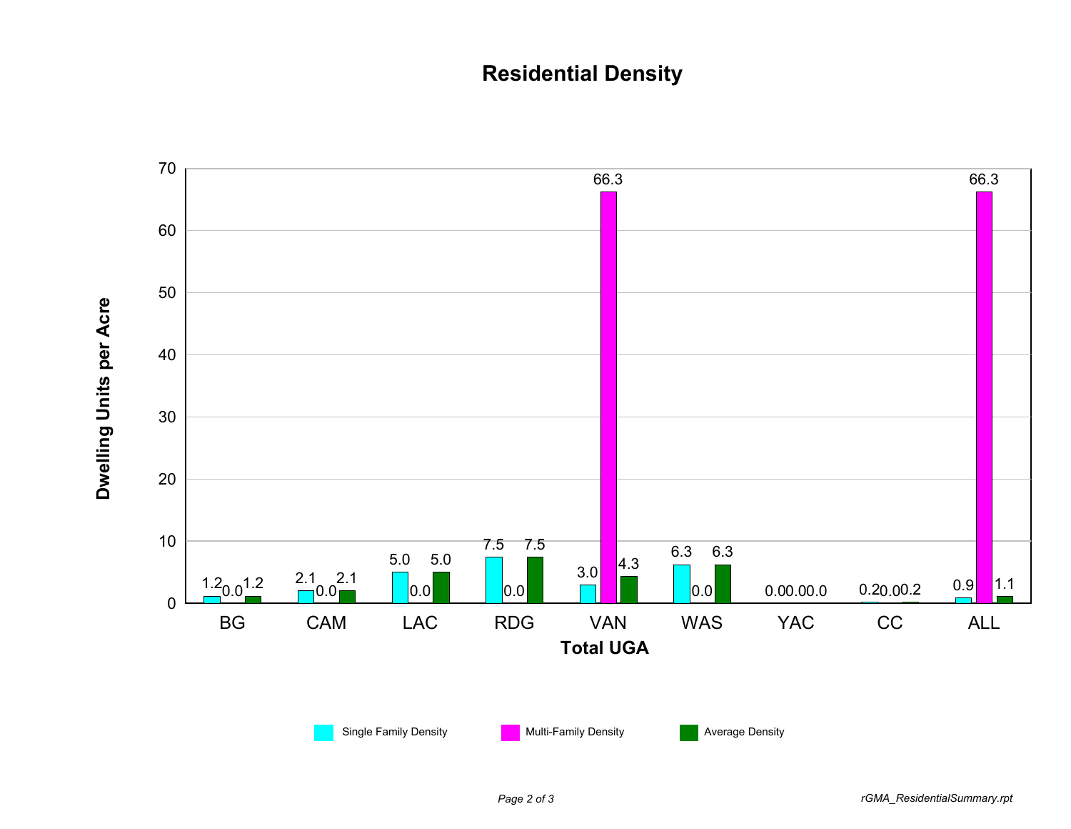## **Residential Density**



*Page 2 of 3 rGMA\_ResidentialSummary.rpt*